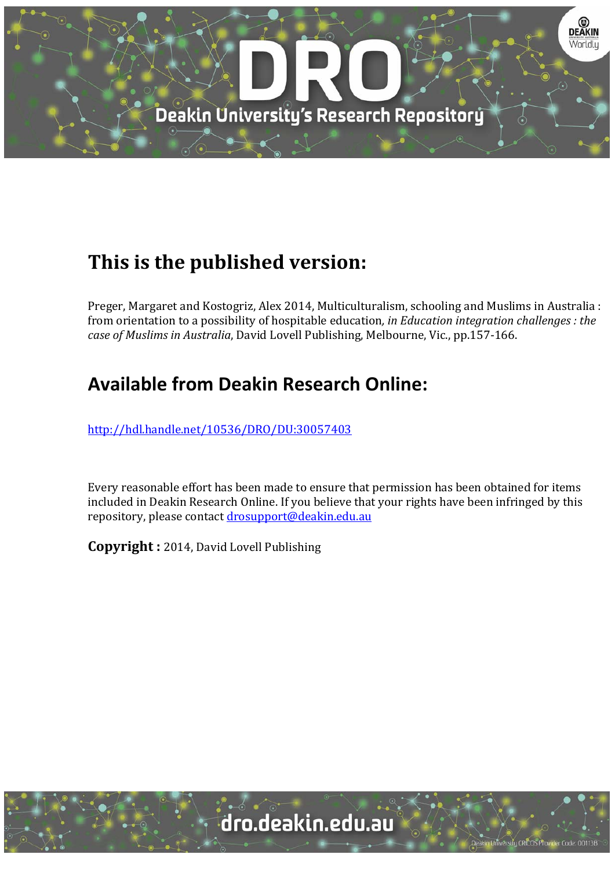

# **This is the published version:**

Preger, Margaret and Kostogriz, Alex 2014, Multiculturalism, schooling and Muslims in Australia : from orientation to a possibility of hospitable education*, in Education integration challenges : the case of Muslims in Australia*, David Lovell Publishing, Melbourne, Vic., pp.157‐166. 

## **Available from Deakin Research Online:**

http://hdl.handle.net/10536/DRO/DU:30057403

Every reasonable effort has been made to ensure that permission has been obtained for items included in Deakin Research Online. If you believe that your rights have been infringed by this repository, please contact drosupport@deakin.edu.au

**Copyright** : 2014, David Lovell Publishing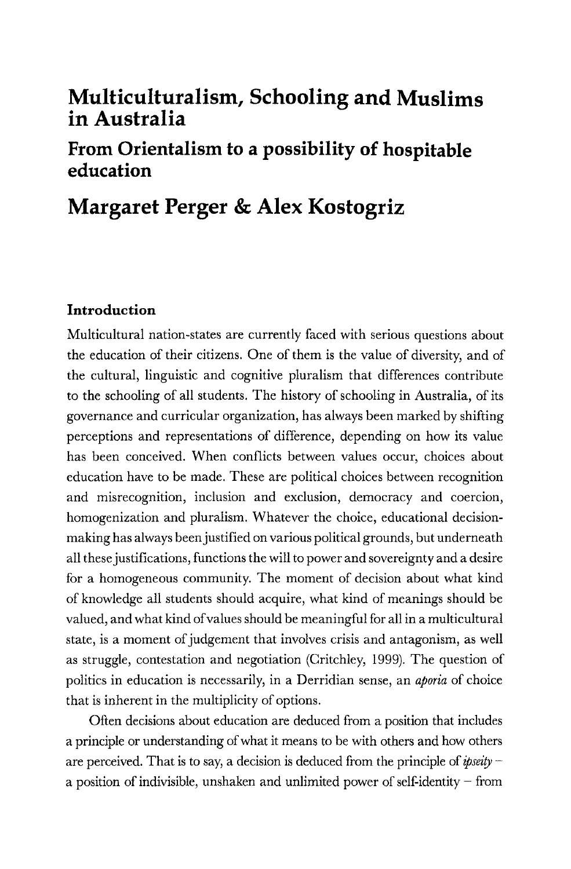### **Multiculturalism, Schooling and Muslims in Australia**

### **From Orientalism to a possibility of hospitable education**

## **Margaret Perger & Alex Kostogriz**

#### **Introduction**

Multicultural nation-states are currently faced with serious questions about the education of their citizens. One of them is the value of diversity, and of the cultural, linguistic and cognitive pluralism that differences contribute to the schooling of all students. The history of schooling in Australia, of its governance and curricular organization, has always been marked by shifting perceptions and representations of difference, depending on how its value has been conceived. When conflicts between values occur, choices about education have to be made. These are political choices between recognition and misrecognition, inclusion and exclusion, democracy and coercion, homogenization and pluralism. Whatever the choice, educational decisionmaking has always been justified on various political grounds, but underneath all these justifications, functions the will to power and sovereignty and a desire for a homogeneous community. The moment of decision about what kind of knowledge all students should acquire, what kind of meanings should be valued, and what kind of values should be meaningful for all in a multicultural state, is a moment of judgement that involves crisis and antagonism, as well as struggle, contestation and negotiation (Critchley, 1999). The question of politics in education is necessarily, in a Derridian sense, an *aporia* of choice that is inherent in the multiplicity of options.

Often decisions about education are deduced from a position that includes a principle or understanding of what it means to be with others and how others are perceived. That is to say, a decision is deduced from the principle of *ipseity*  a position of indivisible, unshaken and unlimited power of self-identity  $-$  from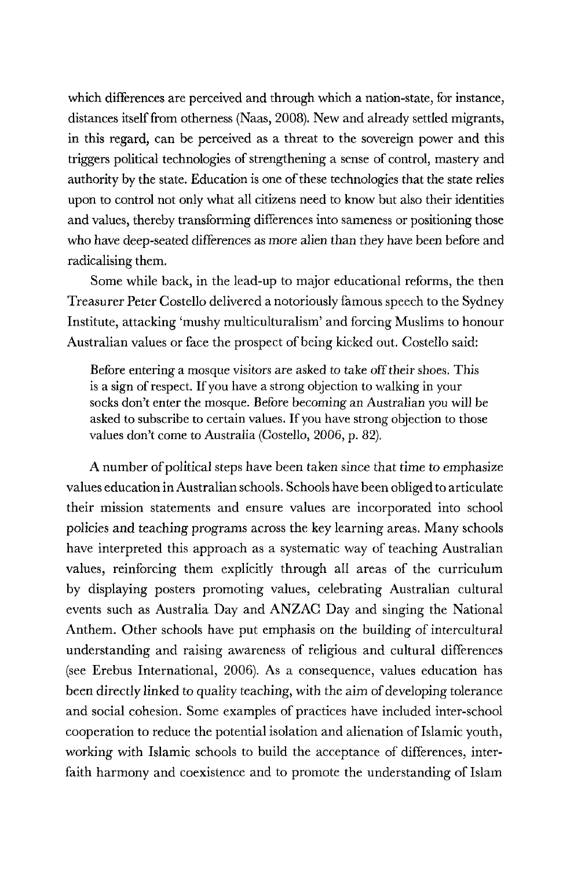which differences are perceived and through which a nation-state, for instance, distances itself from otherness (Naas, 2008). New and already settled migrants, in this regard, can be perceived as a threat to the sovereign power and this triggers political technologies of strengthening a sense of control, mastery and authority by the state. Education is one of these technologies that the state relies upon to control not only what all citizens need to know but also their identities and values, thereby transforming differences into sameness or positioning those who have deep-seated differences as more alien than they have been before and radicalising them.

Some while back, in the lead-up to major educational reforms, the then Treasurer Peter Costello delivered a notoriously famous speech to the Sydney Institute, attacking 'mushy multiculturalism' and forcing Muslims to honour Australian values or face the prospect of being kicked out. Costello said:

Before entering a mosque visitors are asked to take off their shoes. This is a sign of respect. If you have a strong objection to walking in your socks don't enter the mosque. Before becoming an Australian you will be asked to subscribe to certain values. If you have strong objection to those values don't come to Australia (Costello, 2006, p. 82).

A number of political steps have been taken since that time to emphasize values education in Australian schools. Schools have been obliged to articulate their mission statements and ensure values are incorporated into school policies and teaching programs across the key learning areas. Many schools have interpreted this approach as a systematic way of teaching Australian values, reinforcing them explicitly through all areas of the curriculum by displaying posters promoting values, celebrating Australian cultural events such as Australia Day and ANZAC Day and singing the National Anthem. Other schools have put emphasis on the building of intercultural understanding and raising awareness of religious and cultural differences (see Erebus International, 2006). As a consequence, values education has been directly linked to quality teaching, with the aim of developing tolerance and social cohesion. Some examples of practices have included inter-school cooperation to reduce the potential isolation and alienation of Islamic youth, working with Islamic schools to build the acceptance of differences, interfaith harmony and coexistence and to promote the understanding of Islam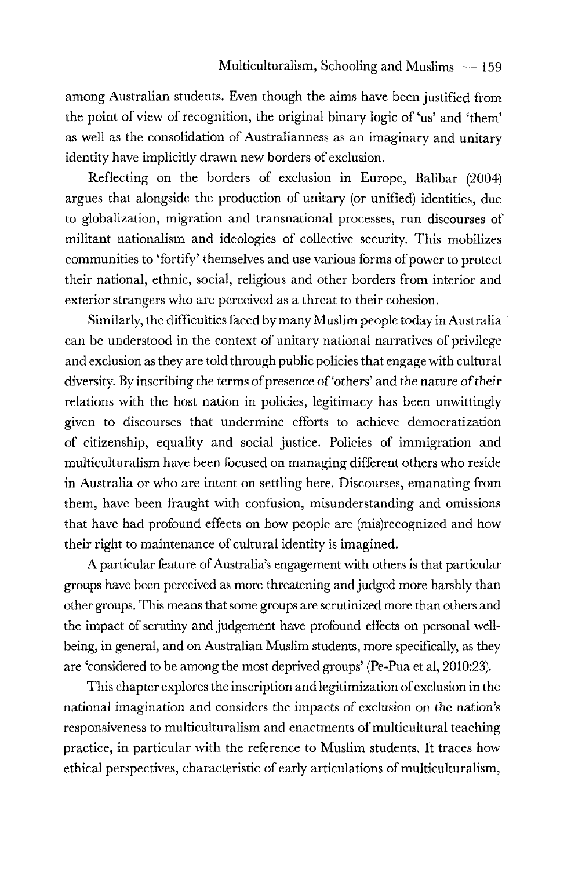among Australian students. Even though the aims have been justified from the point of view of recognition, the original binary logic of 'us' and 'them' as well as the consolidation of Australianness as an imaginary and unitary identity have implicitly drawn new borders of exclusion.

Reflecting on the borders of exclusion in Europe, Balibar (2004) argues that alongside the production of unitary (or unified) identities, due to globalization, migration and transnational processes, run discourses of militant nationalism and ideologies of collective security. This mobilizes communities to 'fortify' themselves and use various forms of power to protect their national, ethnic, social, religious and other borders from interior and exterior strangers who are perceived as a threat to their cohesion.

Similarly, the difficulties faced by many Muslim people today in Australia · can be understood in the context of unitary national narratives of privilege and exclusion as they are told through public policies that engage with cultural diversity. By inscribing the terms of presence of 'others' and the nature of their relations with the host nation in policies, legitimacy has been unwittingly given to discourses that undermine efforts to achieve democratization of citizenship, equality and social justice. Policies of immigration and multiculturalism have been focused on managing different others who reside in Australia or who are intent on settling here. Discourses, emanating from them, have been fraught with confusion, misunderstanding and omissions that have had profound effects on how people are (mis)recognized and how their right to maintenance of cultural identity is imagined.

A particular feature of Australia's engagement with others is that particular groups have been perceived as more threatening and judged more harshly than other groups. This means that some groups are scrutinized more than others and the impact of scrutiny and judgement have profound effects on personal wellbeing, in general, and on Australian Muslim students, more specifically, as they are 'considered to be among the most deprived groups' (Pe-Pua et al, 2010:23).

This chapter explores the inscription and legitimization of exclusion in the national imagination and considers the impacts of exclusion on the nation's responsiveness to multiculturalism and enactments of multicultural teaching practice, in particular with the reference to Muslim students. It traces how ethical perspectives, characteristic of early articulations of multiculturalism,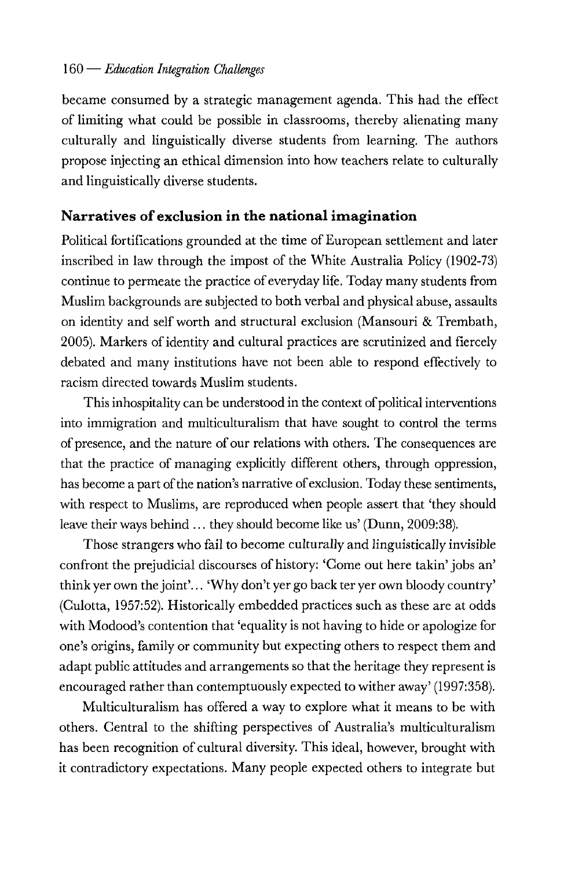#### 160 - *Education Integration ChaUenges*

became consumed by a strategic management agenda. This had the effect of limiting what could be possible in classrooms, thereby alienating many culturally and linguistically diverse students from learning. The authors propose injecting an ethical dimension into how teachers relate to culturally and linguistically diverse students.

#### **Narratives of exclusion in the national imagination**

Political fortifications grounded at the time of European settlement and later inscribed in law through the impost of the White Australia Policy (1902-73) continue to permeate the practice of everyday life. Today many students from Muslim backgrounds are subjected to both verbal and physical abuse, assaults on identity and self worth and structural exclusion (Mansouri & Trembath, 2005). Markers of identity and cultural practices are scrutinized and fiercely debated and many institutions have not been able to respond effectively to racism directed towards Muslim students.

This inhospitality can be understood in the context of political interventions into immigration and multiculturalism that have sought to control the terms of presence, and the nature of our relations with others. The consequences are that the practice of managing explicitly different others, through oppression, has become a part of the nation's narrative of exclusion. Today these sentiments, with respect to Muslims, are reproduced when people assert that 'they should leave their ways behind ... they should become like us' (Dunn, 2009:38).

Those strangers who fail to become culturally and linguistically invisible confront the prejudicial discourses of history: 'Come out here takin' jobs an' think yer own the joint'... 'Why don't yer go back ter yer own bloody country' (Culotta, 1957:52). Historically embedded practices such as these are at odds with Modood's contention that 'equality is not having to hide or apologize for one's origins, family or community but expecting others to respect them and adapt public attitudes and arrangements so that the heritage they representis encouraged rather than contemptuously expected to wither away' (1997:358).

Multiculturalism has offered a way to explore what it means to be with others. Central to the shifting perspectives of Australia's multiculturalism has been recognition of cultural diversity. This ideal, however, brought with it contradictory expectations. Many people expected others to integrate but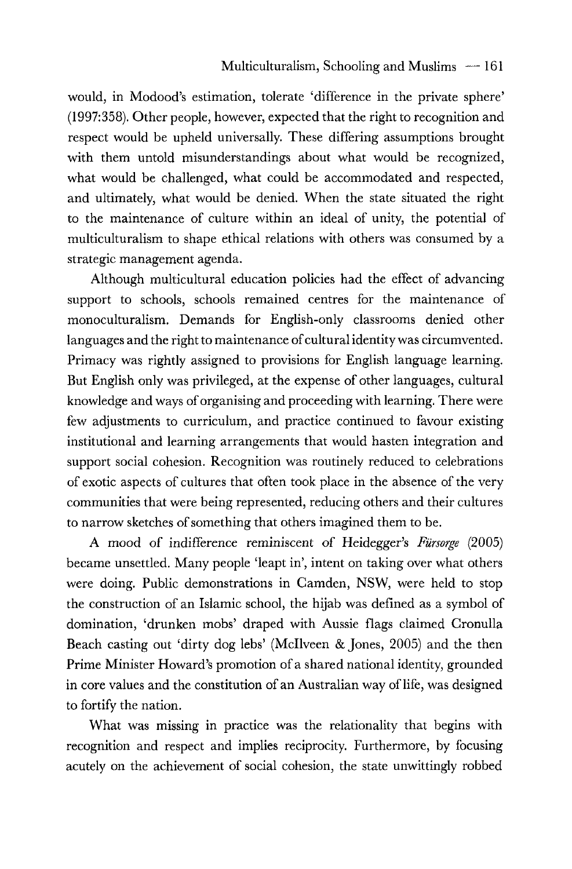would, in Modood's estimation, tolerate 'difference in the private sphere' (1997:358). Other people, however, expected that the right to recognition and respect would be upheld universally. These differing assumptions brought with them untold misunderstandings about what would be recognized, what would be challenged, what could be accommodated and respected, and ultimately, what would be denied. When the state situated the right to the maintenance of culture within an ideal of unity, the potential of multiculturalism to shape ethical relations with others was consumed by a strategic management agenda.

Although multicultural education policies had the effect of advancing support to schools, schools remained centres for the maintenance of monoculturalism. Demands for English-only classrooms denied other languages and the right to maintenance of cultural identity was circumvented. Primacy was rightly assigned to provisions for English language learning. But English only was privileged, at the expense of other languages, cultural knowledge and ways of organising and proceeding with learning. There were few adjustments to curriculum, and practice continued to favour existing institutional and learning arrangements that would hasten integration and support social cohesion. Recognition was routinely reduced to celebrations of exotic aspects of cultures that often took place in the absence of the very communities that were being represented, reducing others and their cultures to narrow sketches of something that others imagined them to be.

A mood of indifference reminiscent of Heidegger's *Fursorge* (2005) became unsettled. Many people 'leapt in', intent on taking over what others were doing. Public demonstrations in Camden, NSW, were held to stop the construction of an Islamic school, the hijab was defined as a symbol of domination, 'drunken mobs' draped with Aussie flags claimed Cronulla Beach casting out 'dirty dog lebs' (Mcllveen & Jones, 2005) and the then Prime Minister Howard's promotion of a shared national identity, grounded in core values and the constitution of an Australian way of life, was designed to fortify the nation.

What was missing in practice was the relationality that begins with recognition and respect and implies reciprocity. Furthermore, by focusing acutely on the achievement of social cohesion, the state unwittingly robbed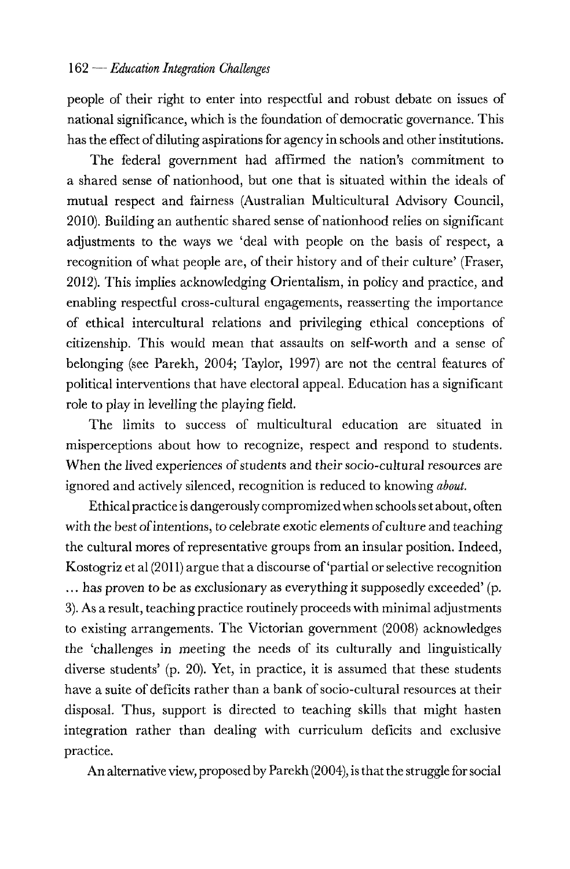people of their right to enter into respectful and robust debate on issues of national significance, which is the foundation of democratic governance. This has the effect of diluting aspirations for agency in schools and other institutions.

The federal government had affirmed the nation's commitment to a shared sense of nationhood, but one that is situated within the ideals of mutual respect and fairness (Australian Multicultural Advisory Council, 2010). Building an authentic shared sense of nationhood relies on significant adjustments to the ways we 'deal with people on the basis of respect, a recognition of what people are, of their history and of their culture' (Fraser, 2012). This implies acknowledging Orientalism, in policy and practice, and enabling respectful cross-cultural engagements, reasserting the importance of ethical intercultural relations and privileging ethical conceptions of citizenship. This would mean that assaults on self-worth and a sense of belonging (see Parekh, 2004; Taylor, 1997) are not the central features of political interventions that have electoral appeal. Education has a significant role to play in levelling the playing field.

The limits to success of multicultural education are situated in misperceptions about how to recognize, respect and respond to students. When the lived experiences of students and their socio-cultural resources are ignored and actively silenced, recognition is reduced to knowing *about.* 

Ethical practice is dangerously compromized when schools set about, often with the best of intentions, to celebrate exotic elements of culture and teaching the cultural mores of representative groups from an insular position. Indeed, Kostogriz et al (2011) argue that a discourse of'partial or selective recognition ... has proven to be as exclusionary as everything it supposedly exceeded' (p. 3). As a result, teaching practice routinely proceeds with minimal adjustments to existing arrangements. The Victorian government (2008) acknowledges the 'challenges in meeting the needs of its culturally and linguistically diverse students' (p. 20). Yet, in practice, it is assumed that these students have a suite of deficits rather than a bank of socio-cultural resources at their disposal. Thus, support is directed to teaching skills that might hasten integration rather than dealing with curriculum deficits and exclusive practice.

An alternative view, proposed by Parekh (2004), is that the struggle for social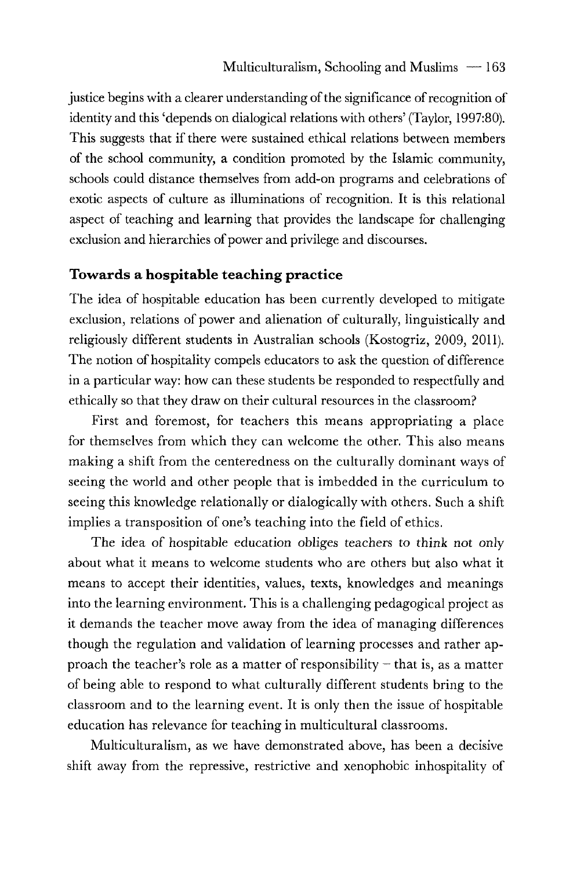justice begins with a clearer understanding of the significance of recognition of identity and this 'depends on dialogical relations with others' (Taylor, 1997:80). This suggests that if there were sustained ethical relations between members of the school community, a condition promoted by the Islamic community, schools could distance themselves from add-on programs and celebrations of exotic aspects of culture as illuminations of recognition. It is this relational aspect of teaching and learning that provides the landscape for challenging exclusion and hierarchies of power and privilege and discourses.

#### **Towards a hospitable teaching practice**

The idea of hospitable education has been currently developed to mitigate exclusion, relations of power and alienation of culturally, linguistically and religiously different students in Australian schools (Kostogriz, 2009, 2011). The notion of hospitality compels educators to ask the question of difference in a particular way: how can these students be responded to respectfully and ethically so that they draw on their cultural resources in the classroom?

First and foremost, for teachers this means appropriating a place for themselves from which they can welcome the other. This also means making a shift from the centeredness on the culturally dominant ways of seeing the world and other people that is imbedded in the curriculum to seeing this knowledge relationally or dialogically with others. Such a shift implies a transposition of one's teaching into the field of ethics.

The idea of hospitable education obliges teachers to think not only about what it means to welcome students who are others but also what it means to accept their identities, values, texts, knowledges and meanings into the learning environment. This is a challenging pedagogical project as it demands the teacher move away from the idea of managing differences though the regulation and validation of learning processes and rather approach the teacher's role as a matter of responsibility  $-$  that is, as a matter of being able to respond to what culturally different students bring to the classroom and to the learning event. It is only then the issue of hospitable education has relevance for teaching in multicultural classrooms.

Multiculturalism, as we have demonstrated above, has been a decisive shift away from the repressive, restrictive and xenophobic inhospitality of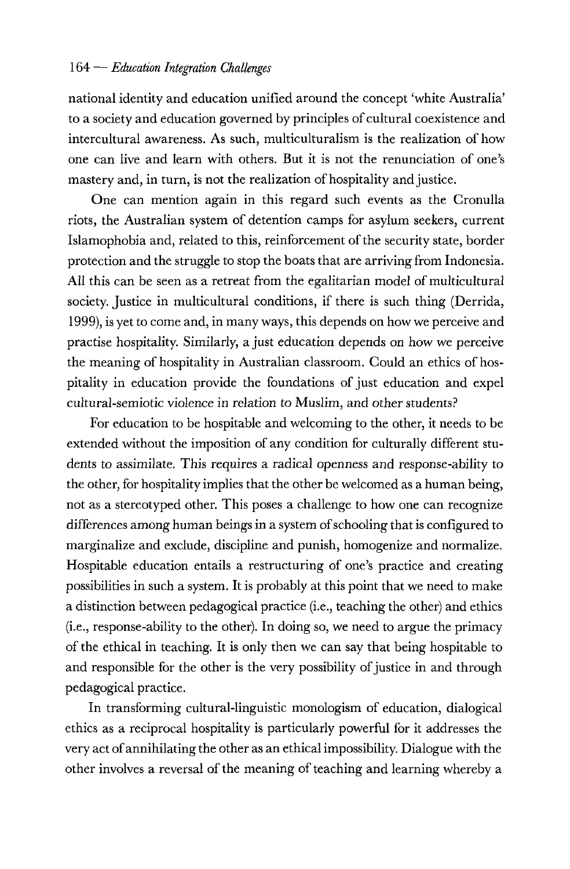#### 164 - *Education Integration Challenges*

national identity and education unified around the concept 'white Australia' to a society and education governed by principles of cultural coexistence and intercultural awareness. As such, multiculturalism is the realization of how one can live and learn with others. But it is not the renunciation of one's mastery and, in turn, is not the realization of hospitality and justice.

One can mention again in this regard such events as the Cronulla riots, the Australian system of detention camps for asylum seekers, current Islamophobia and, related to this, reinforcement of the security state, border protection and the struggle to stop the boats that are arriving from Indonesia. All this can be seen as a retreat from the egalitarian model of multicultural society. Justice in multicultural conditions, if there is such thing (Derrida, 1999), is yet to come and, in many ways, this depends on how we perceive and practise hospitality. Similarly, a just education depends on how we perceive the meaning of hospitality in Australian classroom. Could an ethics of hospitality in education provide the foundations of just education and expel cultural-semiotic violence in relation to Muslim, and other students?

For education to be hospitable and welcoming to the other, it needs to be extended without the imposition of any condition for culturally different students to assimilate. This requires a radical openness and response-ability to the other, for hospitality implies that the other be welcomed as a human being, not as a stereotyped other. This poses a challenge to how one can recognize differences among human beings in a system of schooling that is configured to marginalize and exclude, discipline and punish, homogenize and normalize. Hospitable education entails a restructuring of one's practice and creating possibilities in such a system. It is probably at this point that we need to make a distinction between pedagogical practice (i.e., teaching the other) and ethics (i.e., response-ability to the other). In doing so, we need to argue the primacy of the ethical in teaching. It is only then we can say that being hospitable to and responsible for the other is the very possibility of justice in and through pedagogical practice.

In transforming cultural-linguistic monologism of education, dialogical ethics as a reciprocal hospitality is particularly powerful for it addresses the very act of annihilating the other as an ethical impossibility. Dialogue with the other involves a reversal of the meaning of teaching and learning whereby a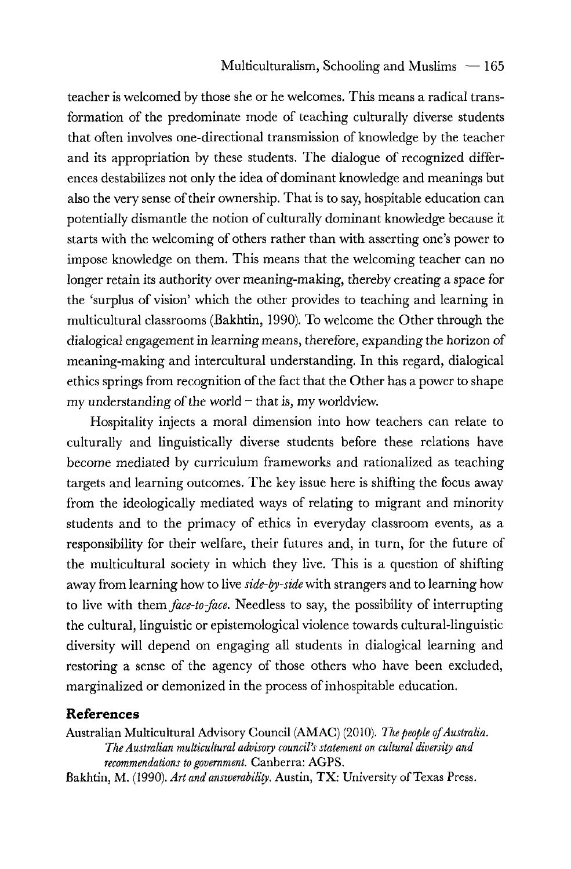teacher is welcomed by those she or he welcomes. This means a radical transformation of the predominate mode of teaching culturally diverse students that often involves one-directional transmission of knowledge by the teacher and its appropriation by these students. The dialogue of recognized differences destabilizes not only the idea of dominant knowledge and meanings but also the very sense of their ownership. That is to say, hospitable education can potentially dismantle the notion of culturally dominant knowledge because it starts with the welcoming of others rather than with asserting one's power to impose knowledge on them. This means that the welcoming teacher can no longer retain its authority over meaning-making, thereby creating a space for the 'surplus of vision' which the other provides to teaching and learning in multicultural classrooms (Bakhtin, 1990). To welcome the Other through the dialogical engagement in learning means, therefore, expanding the horizon of meaning-making and intercultural understanding. In this regard, dialogical ethics springs from recognition of the fact that the Other has a power to shape my understanding of the world – that is, my worldview.

Hospitality injects a moral dimension into how teachers can relate to culturally and linguistically diverse students before these relations have become mediated by curriculum frameworks and rationalized as teaching targets and learning outcomes. The key issue here is shifting the focus away from the ideologically mediated ways of relating to migrant and minority students and to the primacy of ethics in everyday classroom events, as a responsibility for their welfare, their futures and, in turn, for the future of the multicultural society in which they live. This is a question of shifting away from learning how to live *side-by-side* with strangers and to learning how to live with *them.face-to-face.* Needless to say, the possibility of interrupting the cultural, linguistic or epistemological violence towards cultural-linguistic diversity will depend on engaging all students in dialogical learning and restoring a sense of the agency of those others who have been excluded, marginalized or demonized in the process of inhospitable education.

#### **References**

Australian Multicultural Advisory Council (AMAC) (2010). The people of Australia. *The Australian multicultural advisory council's statement on cultural diversity and recommendations to government.* Canberra: AGPS.

Bakhtin, M. (1990). *Art and answerability.* Austin, TX: University of Texas Press.